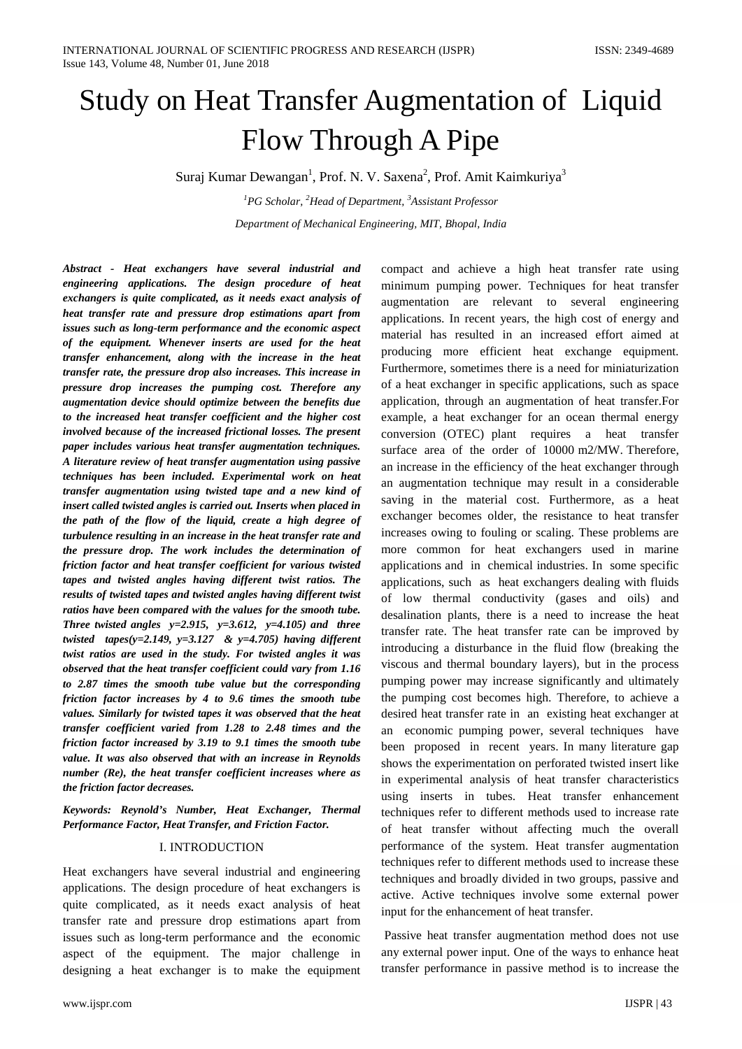# Study on Heat Transfer Augmentation of Liquid Flow Through A Pipe

Suraj Kumar Dewangan<sup>1</sup>, Prof. N. V. Saxena<sup>2</sup>, Prof. Amit Kaimkuriya<sup>3</sup>

*1 PG Scholar, <sup>2</sup> Head of Department, <sup>3</sup> Assistant Professor Department of Mechanical Engineering, MIT, Bhopal, India*

*Abstract - Heat exchangers have several industrial and engineering applications. The design procedure of heat exchangers is quite complicated, as it needs exact analysis of heat transfer rate and pressure drop estimations apart from issues such as long-term performance and the economic aspect of the equipment. Whenever inserts are used for the heat transfer enhancement, along with the increase in the heat transfer rate, the pressure drop also increases. This increase in pressure drop increases the pumping cost. Therefore any augmentation device should optimize between the benefits due to the increased heat transfer coefficient and the higher cost involved because of the increased frictional losses. The present paper includes various heat transfer augmentation techniques. A literature review of heat transfer augmentation using passive techniques has been included. Experimental work on heat transfer augmentation using twisted tape and a new kind of insert called twisted angles is carried out. Inserts when placed in the path of the flow of the liquid, create a high degree of turbulence resulting in an increase in the heat transfer rate and the pressure drop. The work includes the determination of friction factor and heat transfer coefficient for various twisted tapes and twisted angles having different twist ratios. The results of twisted tapes and twisted angles having different twist ratios have been compared with the values for the smooth tube. Three twisted angles y=2.915, y=3.612, y=4.105) and three twisted tapes(y=2.149, y=3.127 & y=4.705) having different twist ratios are used in the study. For twisted angles it was observed that the heat transfer coefficient could vary from 1.16 to 2.87 times the smooth tube value but the corresponding friction factor increases by 4 to 9.6 times the smooth tube values. Similarly for twisted tapes it was observed that the heat transfer coefficient varied from 1.28 to 2.48 times and the friction factor increased by 3.19 to 9.1 times the smooth tube value. It was also observed that with an increase in Reynolds number (Re), the heat transfer coefficient increases where as the friction factor decreases.*

*Keywords: Reynold's Number, Heat Exchanger, Thermal Performance Factor, Heat Transfer, and Friction Factor.*

#### I. INTRODUCTION

Heat exchangers have several industrial and engineering applications. The design procedure of heat exchangers is quite complicated, as it needs exact analysis of heat transfer rate and pressure drop estimations apart from issues such as long-term performance and the economic aspect of the equipment. The major challenge in designing a heat exchanger is to make the equipment compact and achieve a high heat transfer rate using minimum pumping power. Techniques for heat transfer augmentation are relevant to several engineering applications. In recent years, the high cost of energy and material has resulted in an increased effort aimed at producing more efficient heat exchange equipment. Furthermore, sometimes there is a need for miniaturization of a heat exchanger in specific applications, such as space application, through an augmentation of heat transfer.For example, a heat exchanger for an ocean thermal energy conversion (OTEC) plant requires a heat transfer surface area of the order of 10000 m2/MW. Therefore, an increase in the efficiency of the heat exchanger through an augmentation technique may result in a considerable saving in the material cost. Furthermore, as a heat exchanger becomes older, the resistance to heat transfer increases owing to fouling or scaling. These problems are more common for heat exchangers used in marine applications and in chemical industries. In some specific applications, such as heat exchangers dealing with fluids of low thermal conductivity (gases and oils) and desalination plants, there is a need to increase the heat transfer rate. The heat transfer rate can be improved by introducing a disturbance in the fluid flow (breaking the viscous and thermal boundary layers), but in the process pumping power may increase significantly and ultimately the pumping cost becomes high. Therefore, to achieve a desired heat transfer rate in an existing heat exchanger at an economic pumping power, several techniques have been proposed in recent years. In many literature gap shows the experimentation on perforated twisted insert like in experimental analysis of heat transfer characteristics using inserts in tubes. Heat transfer enhancement techniques refer to different methods used to increase rate of heat transfer without affecting much the overall performance of the system. Heat transfer augmentation techniques refer to different methods used to increase these techniques and broadly divided in two groups, passive and active. Active techniques involve some external power input for the enhancement of heat transfer.

Passive heat transfer augmentation method does not use any external power input. One of the ways to enhance heat transfer performance in passive method is to increase the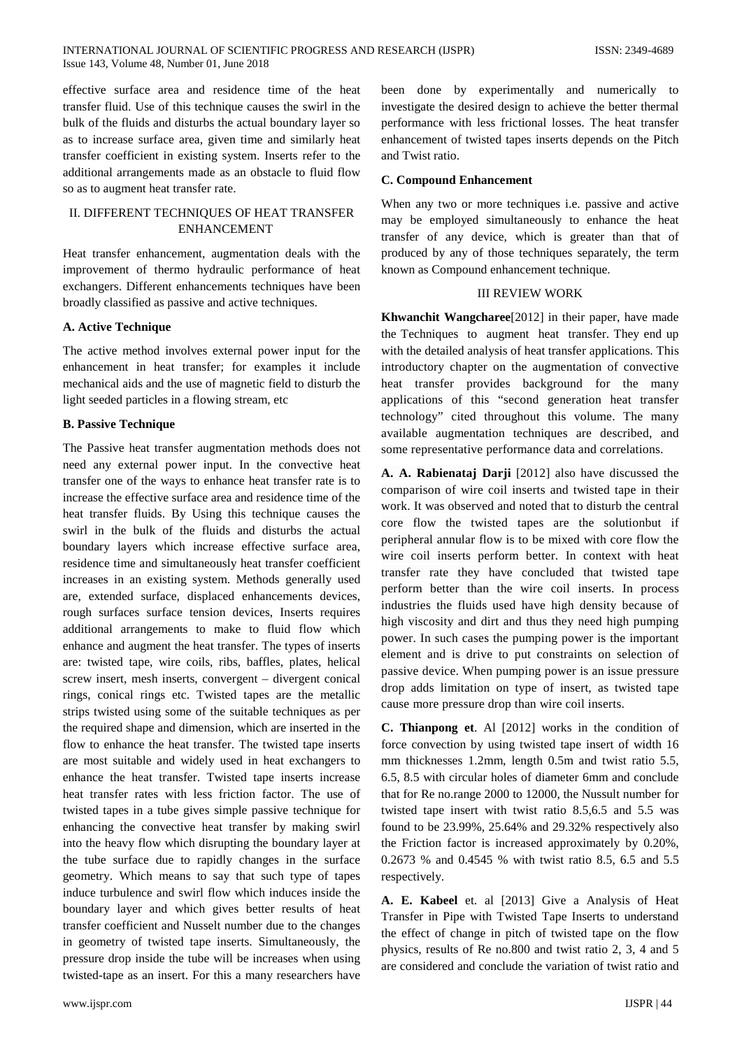effective surface area and residence time of the heat transfer fluid. Use of this technique causes the swirl in the bulk of the fluids and disturbs the actual boundary layer so as to increase surface area, given time and similarly heat transfer coefficient in existing system. Inserts refer to the additional arrangements made as an obstacle to fluid flow so as to augment heat transfer rate.

## II. DIFFERENT TECHNIQUES OF HEAT TRANSFER ENHANCEMENT

Heat transfer enhancement, augmentation deals with the improvement of thermo hydraulic performance of heat exchangers. Different enhancements techniques have been broadly classified as passive and active techniques.

## **A. Active Technique**

The active method involves external power input for the enhancement in heat transfer; for examples it include mechanical aids and the use of magnetic field to disturb the light seeded particles in a flowing stream, etc

## **B. Passive Technique**

The Passive heat transfer augmentation methods does not need any external power input. In the convective heat transfer one of the ways to enhance heat transfer rate is to increase the effective surface area and residence time of the heat transfer fluids. By Using this technique causes the swirl in the bulk of the fluids and disturbs the actual boundary layers which increase effective surface area, residence time and simultaneously heat transfer coefficient increases in an existing system. Methods generally used are, extended surface, displaced enhancements devices, rough surfaces surface tension devices, Inserts requires additional arrangements to make to fluid flow which enhance and augment the heat transfer. The types of inserts are: twisted tape, wire coils, ribs, baffles, plates, helical screw insert, mesh inserts, convergent – divergent conical rings, conical rings etc. Twisted tapes are the metallic strips twisted using some of the suitable techniques as per the required shape and dimension, which are inserted in the flow to enhance the heat transfer. The twisted tape inserts are most suitable and widely used in heat exchangers to enhance the heat transfer. Twisted tape inserts increase heat transfer rates with less friction factor. The use of twisted tapes in a tube gives simple passive technique for enhancing the convective heat transfer by making swirl into the heavy flow which disrupting the boundary layer at the tube surface due to rapidly changes in the surface geometry. Which means to say that such type of tapes induce turbulence and swirl flow which induces inside the boundary layer and which gives better results of heat transfer coefficient and Nusselt number due to the changes in geometry of twisted tape inserts. Simultaneously, the pressure drop inside the tube will be increases when using twisted-tape as an insert. For this a many researchers have

been done by experimentally and numerically to investigate the desired design to achieve the better thermal performance with less frictional losses. The heat transfer enhancement of twisted tapes inserts depends on the Pitch and Twist ratio.

## **C. Compound Enhancement**

When any two or more techniques i.e. passive and active may be employed simultaneously to enhance the heat transfer of any device, which is greater than that of produced by any of those techniques separately, the term known as Compound enhancement technique.

## III REVIEW WORK

**Khwanchit Wangcharee**[2012] in their paper, have made the Techniques to augment heat transfer. They end up with the detailed analysis of heat transfer applications. This introductory chapter on the augmentation of convective heat transfer provides background for the many applications of this "second generation heat transfer technology" cited throughout this volume. The many available augmentation techniques are described, and some representative performance data and correlations.

**A. A. Rabienataj Darji** [2012] also have discussed the comparison of wire coil inserts and twisted tape in their work. It was observed and noted that to disturb the central core flow the twisted tapes are the solutionbut if peripheral annular flow is to be mixed with core flow the wire coil inserts perform better. In context with heat transfer rate they have concluded that twisted tape perform better than the wire coil inserts. In process industries the fluids used have high density because of high viscosity and dirt and thus they need high pumping power. In such cases the pumping power is the important element and is drive to put constraints on selection of passive device. When pumping power is an issue pressure drop adds limitation on type of insert, as twisted tape cause more pressure drop than wire coil inserts.

**C. Thianpong et**. Al [2012] works in the condition of force convection by using twisted tape insert of width 16 mm thicknesses 1.2mm, length 0.5m and twist ratio 5.5, 6.5, 8.5 with circular holes of diameter 6mm and conclude that for Re no.range 2000 to 12000, the Nussult number for twisted tape insert with twist ratio 8.5,6.5 and 5.5 was found to be 23.99%, 25.64% and 29.32% respectively also the Friction factor is increased approximately by 0.20%, 0.2673 % and 0.4545 % with twist ratio 8.5, 6.5 and 5.5 respectively.

**A. E. Kabeel** et. al [2013] Give a Analysis of Heat Transfer in Pipe with Twisted Tape Inserts to understand the effect of change in pitch of twisted tape on the flow physics, results of Re no.800 and twist ratio 2, 3, 4 and 5 are considered and conclude the variation of twist ratio and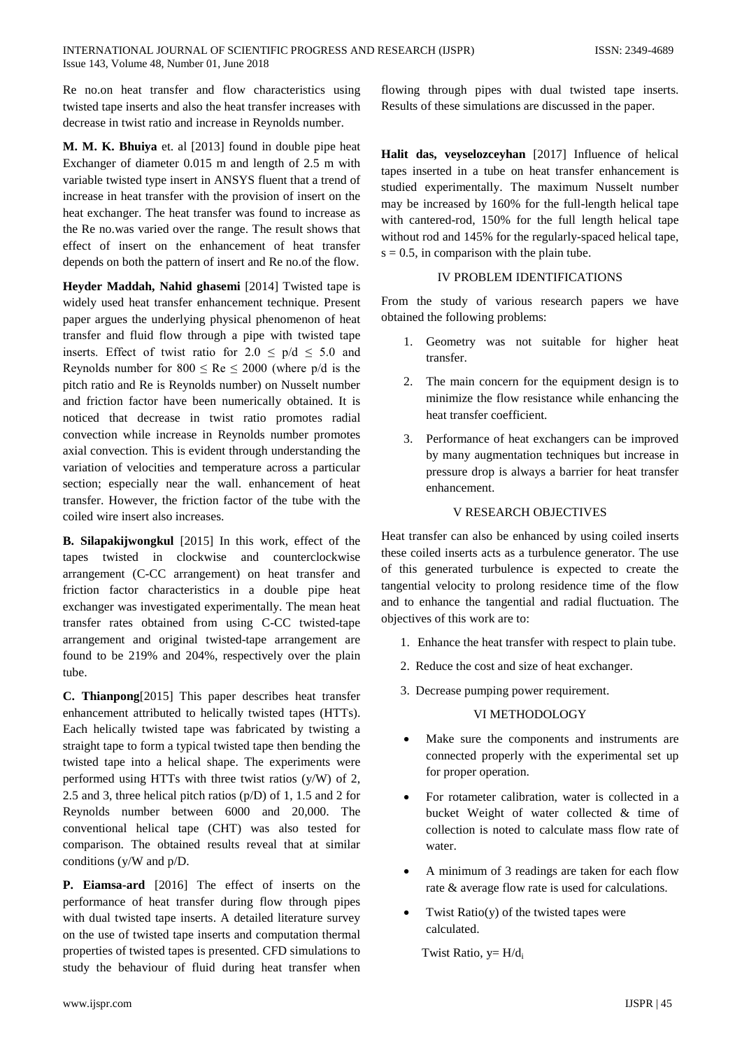Re no.on heat transfer and flow characteristics using twisted tape inserts and also the heat transfer increases with decrease in twist ratio and increase in Reynolds number.

**M. M. K. Bhuiya** et. al [2013] found in double pipe heat Exchanger of diameter 0.015 m and length of 2.5 m with variable twisted type insert in ANSYS fluent that a trend of increase in heat transfer with the provision of insert on the heat exchanger. The heat transfer was found to increase as the Re no.was varied over the range. The result shows that effect of insert on the enhancement of heat transfer depends on both the pattern of insert and Re no.of the flow.

**Heyder Maddah, Nahid ghasemi** [2014] Twisted tape is widely used heat transfer enhancement technique. Present paper argues the underlying physical phenomenon of heat transfer and fluid flow through a pipe with twisted tape inserts. Effect of twist ratio for  $2.0 \le p/d \le 5.0$  and Reynolds number for  $800 \le \text{Re} \le 2000$  (where p/d is the pitch ratio and Re is Reynolds number) on Nusselt number and friction factor have been numerically obtained. It is noticed that decrease in twist ratio promotes radial convection while increase in Reynolds number promotes axial convection. This is evident through understanding the variation of velocities and temperature across a particular section; especially near the wall. enhancement of heat transfer. However, the friction factor of the tube with the coiled wire insert also increases.

**B. Silapakijwongkul** [2015] In this work, effect of the tapes twisted in clockwise and counterclockwise arrangement (C-CC arrangement) on heat transfer and friction factor characteristics in a double pipe heat exchanger was investigated experimentally. The mean heat transfer rates obtained from using C-CC twisted-tape arrangement and original twisted-tape arrangement are found to be 219% and 204%, respectively over the plain tube.

**C. Thianpong**[2015] This paper describes heat transfer enhancement attributed to helically twisted tapes (HTTs). Each helically twisted tape was fabricated by twisting a straight tape to form a typical twisted tape then bending the twisted tape into a helical shape. The experiments were performed using HTTs with three twist ratios (y/W) of 2, 2.5 and 3, three helical pitch ratios (p/D) of 1, 1.5 and 2 for Reynolds number between 6000 and 20,000. The conventional helical tape (CHT) was also tested for comparison. The obtained results reveal that at similar conditions (y/W and p/D.

**P. Eiamsa-ard** [2016] The effect of inserts on the performance of heat transfer during flow through pipes with dual twisted tape inserts. A detailed literature survey on the use of twisted tape inserts and computation thermal properties of twisted tapes is presented. CFD simulations to study the behaviour of fluid during heat transfer when

flowing through pipes with dual twisted tape inserts. Results of these simulations are discussed in the paper.

**Halit das, veyselozceyhan** [2017] Influence of helical tapes inserted in a tube on heat transfer enhancement is studied experimentally. The maximum Nusselt number may be increased by 160% for the full-length helical tape with cantered-rod, 150% for the full length helical tape without rod and 145% for the regularly-spaced helical tape,  $s = 0.5$ , in comparison with the plain tube.

## IV PROBLEM IDENTIFICATIONS

From the study of various research papers we have obtained the following problems:

- 1. Geometry was not suitable for higher heat transfer.
- 2. The main concern for the equipment design is to minimize the flow resistance while enhancing the heat transfer coefficient.
- 3. Performance of heat exchangers can be improved by many augmentation techniques but increase in pressure drop is always a barrier for heat transfer enhancement.

# V RESEARCH OBJECTIVES

Heat transfer can also be enhanced by using coiled inserts these coiled inserts acts as a turbulence generator. The use of this generated turbulence is expected to create the tangential velocity to prolong residence time of the flow and to enhance the tangential and radial fluctuation. The objectives of this work are to:

- 1. Enhance the heat transfer with respect to plain tube.
- 2. Reduce the cost and size of heat exchanger.
- 3. Decrease pumping power requirement.

## VI METHODOLOGY

- Make sure the components and instruments are connected properly with the experimental set up for proper operation.
- For rotameter calibration, water is collected in a bucket Weight of water collected & time of collection is noted to calculate mass flow rate of water.
- A minimum of 3 readings are taken for each flow rate & average flow rate is used for calculations.
- Twist  $Ratio(y)$  of the twisted tapes were calculated.

Twist Ratio,  $y=H/d_i$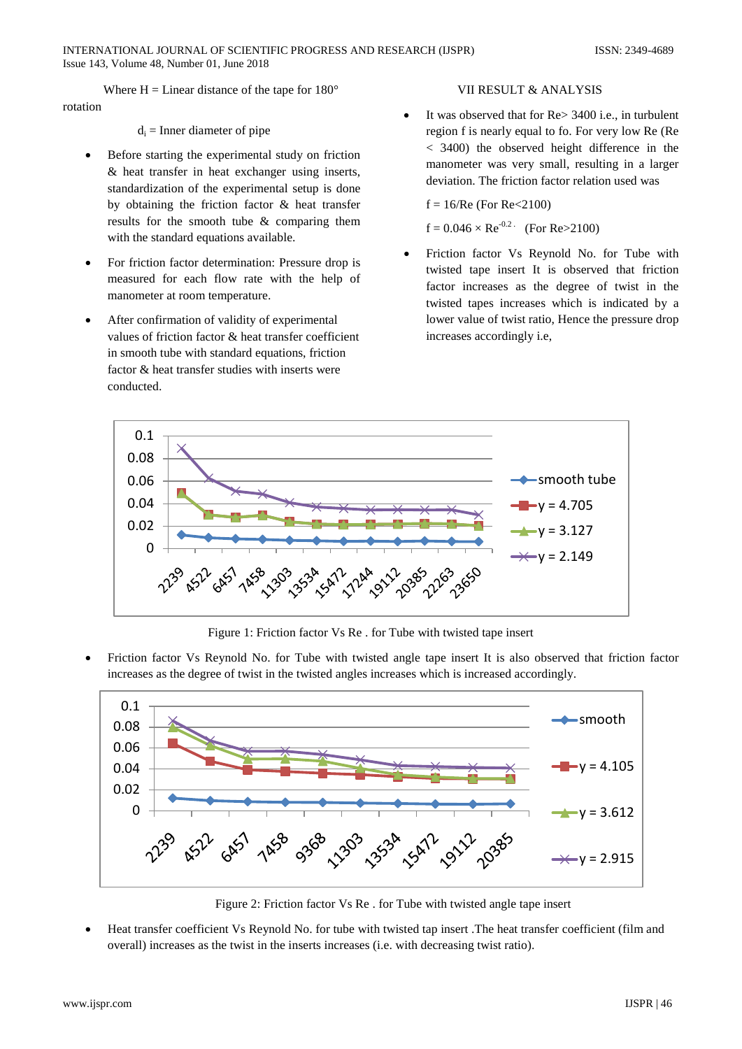Where  $H =$  Linear distance of the tape for  $180^{\circ}$ rotation

 $d_i$  = Inner diameter of pipe

- Before starting the experimental study on friction & heat transfer in heat exchanger using inserts, standardization of the experimental setup is done by obtaining the friction factor & heat transfer results for the smooth tube & comparing them with the standard equations available.
- For friction factor determination: Pressure drop is measured for each flow rate with the help of manometer at room temperature.
- After confirmation of validity of experimental values of friction factor & heat transfer coefficient in smooth tube with standard equations, friction factor & heat transfer studies with inserts were conducted.

## VII RESULT & ANALYSIS

It was observed that for Re> 3400 i.e., in turbulent region f is nearly equal to fo. For very low Re (Re < 3400) the observed height difference in the manometer was very small, resulting in a larger deviation. The friction factor relation used was

 $f = 16$ /Re (For Re<2100)

 $f = 0.046 \times \text{Re}^{-0.2}$  (For Re>2100)

• Friction factor Vs Reynold No. for Tube with twisted tape insert It is observed that friction factor increases as the degree of twist in the twisted tapes increases which is indicated by a lower value of twist ratio, Hence the pressure drop increases accordingly i.e,



Figure 1: Friction factor Vs Re . for Tube with twisted tape insert

• Friction factor Vs Reynold No. for Tube with twisted angle tape insert It is also observed that friction factor increases as the degree of twist in the twisted angles increases which is increased accordingly.



Figure 2: Friction factor Vs Re . for Tube with twisted angle tape insert

• Heat transfer coefficient Vs Reynold No. for tube with twisted tap insert .The heat transfer coefficient (film and overall) increases as the twist in the inserts increases (i.e. with decreasing twist ratio).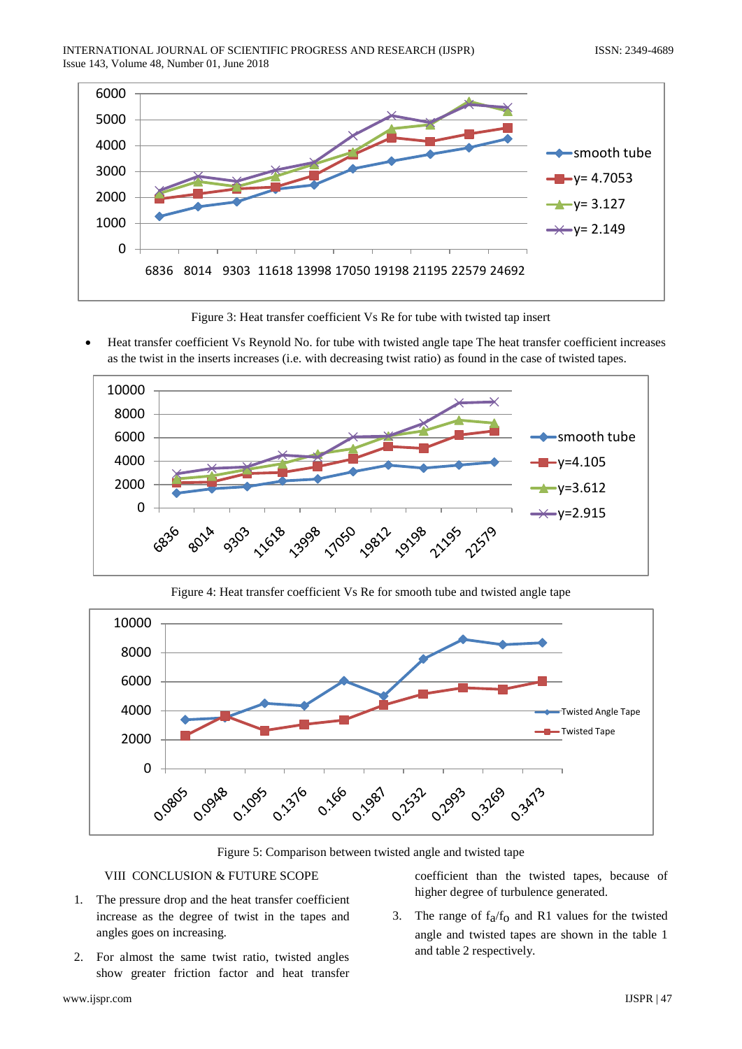

Figure 3: Heat transfer coefficient Vs Re for tube with twisted tap insert

• Heat transfer coefficient Vs Reynold No. for tube with twisted angle tape The heat transfer coefficient increases as the twist in the inserts increases (i.e. with decreasing twist ratio) as found in the case of twisted tapes.



Figure 4: Heat transfer coefficient Vs Re for smooth tube and twisted angle tape



Figure 5: Comparison between twisted angle and twisted tape

## VIII CONCLUSION & FUTURE SCOPE

- 1. The pressure drop and the heat transfer coefficient increase as the degree of twist in the tapes and angles goes on increasing.
- 2. For almost the same twist ratio, twisted angles show greater friction factor and heat transfer

coefficient than the twisted tapes, because of higher degree of turbulence generated.

3. The range of  $f_a/f_0$  and R1 values for the twisted angle and twisted tapes are shown in the table 1 and table 2 respectively.